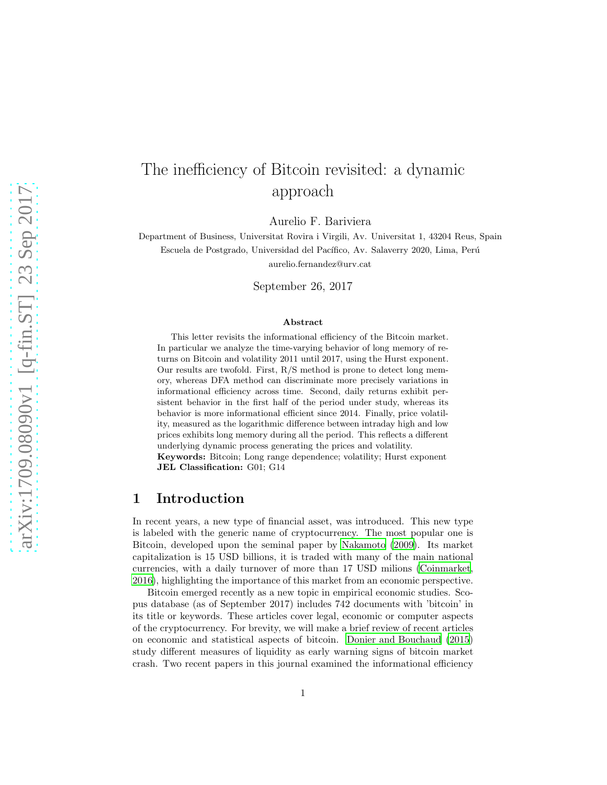# The inefficiency of Bitcoin revisited: a dynamic approach

Aurelio F. Bariviera

Department of Business, Universitat Rovira i Virgili, Av. Universitat 1, 43204 Reus, Spain Escuela de Postgrado, Universidad del Pacífico, Av. Salaverry 2020, Lima, Perú aurelio.fernandez@urv.cat

September 26, 2017

#### Abstract

This letter revisits the informational efficiency of the Bitcoin market. In particular we analyze the time-varying behavior of long memory of returns on Bitcoin and volatility 2011 until 2017, using the Hurst exponent. Our results are twofold. First, R/S method is prone to detect long memory, whereas DFA method can discriminate more precisely variations in informational efficiency across time. Second, daily returns exhibit persistent behavior in the first half of the period under study, whereas its behavior is more informational efficient since 2014. Finally, price volatility, measured as the logarithmic difference between intraday high and low prices exhibits long memory during all the period. This reflects a different underlying dynamic process generating the prices and volatility. Keywords: Bitcoin; Long range dependence; volatility; Hurst exponent

JEL Classification: G01; G14

# 1 Introduction

In recent years, a new type of financial asset, was introduced. This new type is labeled with the generic name of cryptocurrency. The most popular one is Bitcoin, developed upon the seminal paper by [Nakamoto \(2009](#page-9-0)). Its market capitalization is 15 USD billions, it is traded with many of the main national currencies, with a daily turnover of more than 17 USD milions [\(Coinmarket,](#page-8-0) [2016\)](#page-8-0), highlighting the importance of this market from an economic perspective.

Bitcoin emerged recently as a new topic in empirical economic studies. Scopus database (as of September 2017) includes 742 documents with 'bitcoin' in its title or keywords. These articles cover legal, economic or computer aspects of the cryptocurrency. For brevity, we will make a brief review of recent articles on economic and statistical aspects of bitcoin. [Donier and Bouchaud \(2015\)](#page-8-1) study different measures of liquidity as early warning signs of bitcoin market crash. Two recent papers in this journal examined the informational efficiency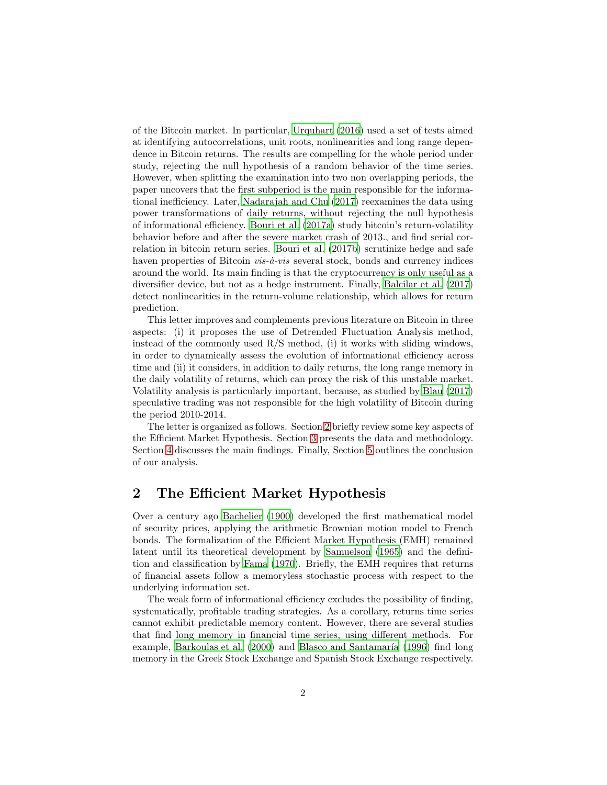of the Bitcoin market. In particular, [Urquhart \(2016](#page-9-1)) used a set of tests aimed at identifying autocorrelations, unit roots, nonlinearities and long range dependence in Bitcoin returns. The results are compelling for the whole period under study, rejecting the null hypothesis of a random behavior of the time series. However, when splitting the examination into two non overlapping periods, the paper uncovers that the first subperiod is the main responsible for the informational inefficiency. Later, [Nadarajah and Chu \(2017](#page-8-2)) reexamines the data using power transformations of daily returns, without rejecting the null hypothesis of informational efficiency. [Bouri et al. \(2017a](#page-7-0)) study bitcoin's return-volatility behavior before and after the severe market crash of 2013., and find serial correlation in bitcoin return series. [Bouri et al. \(2017b\)](#page-7-1) scrutinize hedge and safe haven properties of Bitcoin  $vis-\hat{a}-vis$  several stock, bonds and currency indices around the world. Its main finding is that the cryptocurrency is only useful as a diversifier device, but not as a hedge instrument. Finally, [Balcilar et al. \(2017\)](#page-7-2) detect nonlinearities in the return-volume relationship, which allows for return prediction.

This letter improves and complements previous literature on Bitcoin in three aspects: (i) it proposes the use of Detrended Fluctuation Analysis method, instead of the commonly used R/S method, (i) it works with sliding windows, in order to dynamically assess the evolution of informational efficiency across time and (ii) it considers, in addition to daily returns, the long range memory in the daily volatility of returns, which can proxy the risk of this unstable market. Volatility analysis is particularly important, because, as studied by [Blau \(2017\)](#page-7-3) speculative trading was not responsible for the high volatility of Bitcoin during the period 2010-2014.

The letter is organized as follows. Section [2](#page-1-0) briefly review some key aspects of the Efficient Market Hypothesis. Section [3](#page-2-0) presents the data and methodology. Section [4](#page-4-0) discusses the main findings. Finally, Section [5](#page-6-0) outlines the conclusion of our analysis.

### <span id="page-1-0"></span>2 The Efficient Market Hypothesis

Over a century ago [Bachelier \(1900\)](#page-6-1) developed the first mathematical model of security prices, applying the arithmetic Brownian motion model to French bonds. The formalization of the Efficient Market Hypothesis (EMH) remained latent until its theoretical development by [Samuelson \(1965\)](#page-9-2) and the definition and classification by [Fama \(1970](#page-8-3)). Briefly, the EMH requires that returns of financial assets follow a memoryless stochastic process with respect to the underlying information set.

The weak form of informational efficiency excludes the possibility of finding, systematically, profitable trading strategies. As a corollary, returns time series cannot exhibit predictable memory content. However, there are several studies that find long memory in financial time series, using different methods. For example, [Barkoulas et al. \(2000\)](#page-7-4) and Blasco and Santamaría (1996) find long memory in the Greek Stock Exchange and Spanish Stock Exchange respectively.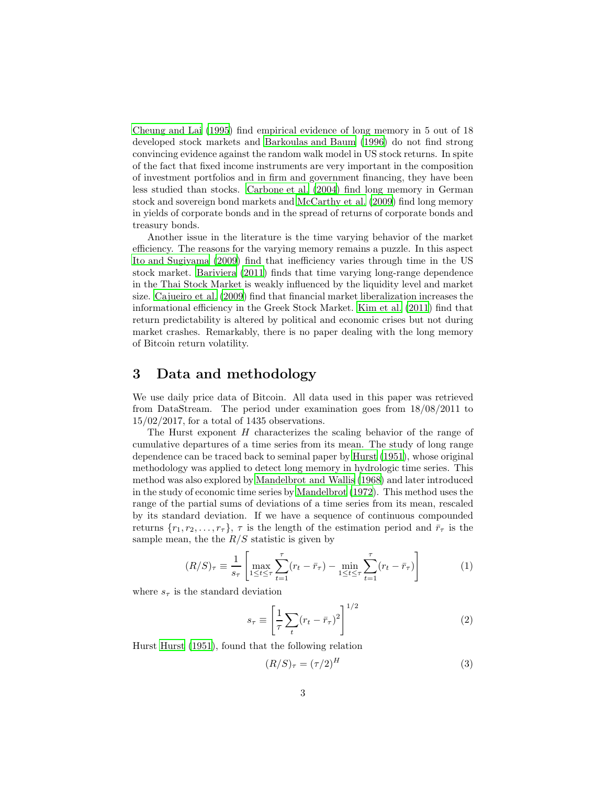[Cheung and Lai \(1995](#page-8-4)) find empirical evidence of long memory in 5 out of 18 developed stock markets and [Barkoulas and Baum \(1996](#page-7-6)) do not find strong convincing evidence against the random walk model in US stock returns. In spite of the fact that fixed income instruments are very important in the composition of investment portfolios and in firm and government financing, they have been less studied than stocks. [Carbone et al. \(2004\)](#page-8-5) find long memory in German stock and sovereign bond markets and [McCarthy et al. \(2009\)](#page-8-6) find long memory in yields of corporate bonds and in the spread of returns of corporate bonds and treasury bonds.

Another issue in the literature is the time varying behavior of the market efficiency. The reasons for the varying memory remains a puzzle. In this aspect [Ito and Sugiyama \(2009](#page-8-7)) find that inefficiency varies through time in the US stock market. [Bariviera \(2011\)](#page-7-7) finds that time varying long-range dependence in the Thai Stock Market is weakly influenced by the liquidity level and market size. [Cajueiro et al. \(2009\)](#page-7-8) find that financial market liberalization increases the informational efficiency in the Greek Stock Market. [Kim et al. \(2011\)](#page-8-8) find that return predictability is altered by political and economic crises but not during market crashes. Remarkably, there is no paper dealing with the long memory of Bitcoin return volatility.

### <span id="page-2-0"></span>3 Data and methodology

We use daily price data of Bitcoin. All data used in this paper was retrieved from DataStream. The period under examination goes from 18/08/2011 to 15/02/2017, for a total of 1435 observations.

The Hurst exponent  $H$  characterizes the scaling behavior of the range of cumulative departures of a time series from its mean. The study of long range dependence can be traced back to seminal paper by [Hurst \(1951\)](#page-8-9), whose original methodology was applied to detect long memory in hydrologic time series. This method was also explored by [Mandelbrot and Wallis \(1968](#page-8-10)) and later introduced in the study of economic time series by [Mandelbrot \(1972\)](#page-8-11). This method uses the range of the partial sums of deviations of a time series from its mean, rescaled by its standard deviation. If we have a sequence of continuous compounded returns  $\{r_1, r_2, \ldots, r_{\tau}\}\$ ,  $\tau$  is the length of the estimation period and  $\bar{r}_{\tau}$  is the sample mean, the the  $R/S$  statistic is given by

$$
(R/S)_{\tau} \equiv \frac{1}{s_{\tau}} \left[ \max_{1 \le t \le \tau} \sum_{t=1}^{\tau} (r_t - \bar{r}_{\tau}) - \min_{1 \le t \le \tau} \sum_{t=1}^{\tau} (r_t - \bar{r}_{\tau}) \right]
$$
(1)

where  $s<sub>\tau</sub>$  is the standard deviation

$$
s_{\tau} \equiv \left[\frac{1}{\tau} \sum_{t} (r_t - \bar{r}_{\tau})^2\right]^{1/2} \tag{2}
$$

Hurst [Hurst \(1951\)](#page-8-9), found that the following relation

$$
(R/S)_{\tau} = (\tau/2)^{H} \tag{3}
$$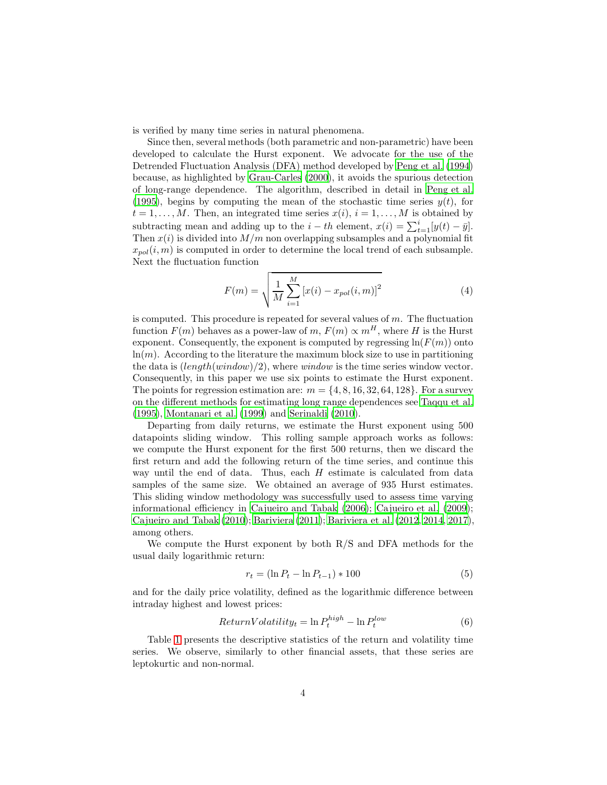is verified by many time series in natural phenomena.

Since then, several methods (both parametric and non-parametric) have been developed to calculate the Hurst exponent. We advocate for the use of the Detrended Fluctuation Analysis (DFA) method developed by [Peng et](#page-9-3) al. [\(1994\)](#page-9-3) because, as highlighted by [Grau-Carles \(2000\)](#page-8-12), it avoids the spurious detection of long-range dependence. The algorithm, described in detail in [Peng et al.](#page-9-4) [\(1995\)](#page-9-4), begins by computing the mean of the stochastic time series  $y(t)$ , for  $t = 1, \ldots, M$ . Then, an integrated time series  $x(i)$ ,  $i = 1, \ldots, M$  is obtained by subtracting mean and adding up to the  $i - th$  element,  $x(i) = \sum_{t=1}^{i} [y(t) - \bar{y}]$ . Then  $x(i)$  is divided into  $M/m$  non overlapping subsamples and a polynomial fit  $x_{pol}(i, m)$  is computed in order to determine the local trend of each subsample. Next the fluctuation function

$$
F(m) = \sqrt{\frac{1}{M} \sum_{i=1}^{M} \left[ x(i) - x_{pol}(i, m) \right]^2}
$$
 (4)

is computed. This procedure is repeated for several values of  $m$ . The fluctuation function  $F(m)$  behaves as a power-law of m,  $F(m) \propto m^H$ , where H is the Hurst exponent. Consequently, the exponent is computed by regressing  $\ln(F(m))$  onto  $ln(m)$ . According to the literature the maximum block size to use in partitioning the data is  $(length(window)/2)$ , where *window* is the time series window vector. Consequently, in this paper we use six points to estimate the Hurst exponent. The points for regression estimation are:  $m = \{4, 8, 16, 32, 64, 128\}$ . For a survey on the different methods for estimating long range dependences see [Taqqu et al.](#page-9-5) [\(1995\)](#page-9-5), [Montanari et al. \(1999\)](#page-8-13) and [Serinaldi \(2010\)](#page-9-6).

Departing from daily returns, we estimate the Hurst exponent using 500 datapoints sliding window. This rolling sample approach works as follows: we compute the Hurst exponent for the first 500 returns, then we discard the first return and add the following return of the time series, and continue this way until the end of data. Thus, each H estimate is calculated from data samples of the same size. We obtained an average of 935 Hurst estimates. This sliding window methodology was successfully used to assess time varying informational efficiency in [Cajueiro and Tabak \(2006\)](#page-7-9); [Cajueiro et al. \(2009\)](#page-7-8); [Cajueiro and Tabak \(2010\)](#page-7-10); [Bariviera \(2011\)](#page-7-7); [Bariviera et al. \(2012,](#page-7-11) [2014](#page-7-12), [2017](#page-7-13)), among others.

We compute the Hurst exponent by both R/S and DFA methods for the usual daily logarithmic return:

$$
r_t = (\ln P_t - \ln P_{t-1}) * 100
$$
\n(5)

and for the daily price volatility, defined as the logarithmic difference between intraday highest and lowest prices:

$$
ReturnVolatility_t = \ln P_t^{high} - \ln P_t^{low}
$$
\n(6)

Table [1](#page-4-1) presents the descriptive statistics of the return and volatility time series. We observe, similarly to other financial assets, that these series are leptokurtic and non-normal.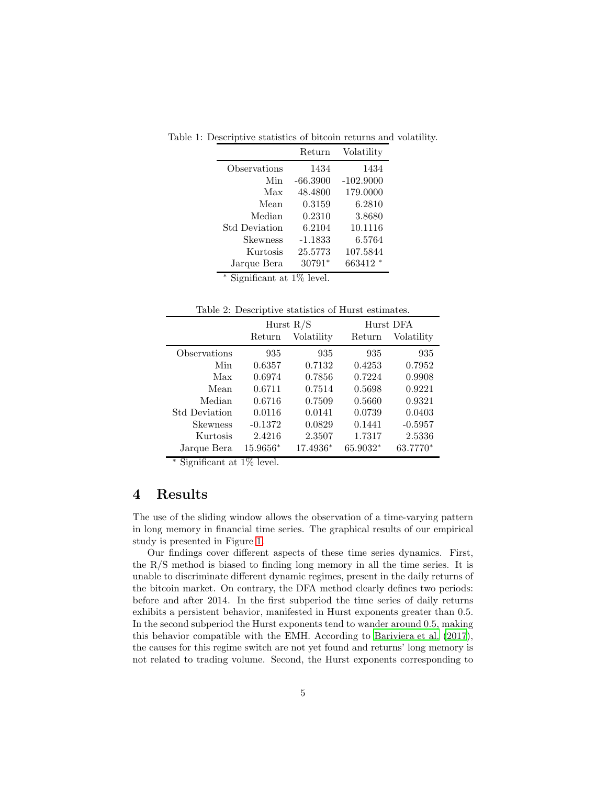<span id="page-4-1"></span>

|                      | Return     | Volatility  |
|----------------------|------------|-------------|
| Observations         | 1434       | 1434        |
| Min                  | $-66.3900$ | $-102.9000$ |
| Max                  | 48.4800    | 179.0000    |
| Mean                 | 0.3159     | 6.2810      |
| Median               | 0.2310     | 3.8680      |
| <b>Std Deviation</b> | 6.2104     | 10.1116     |
| Skewness             | $-1.1833$  | 6.5764      |
| Kurtosis             | 25.5773    | 107.5844    |
| Jarque Bera          | 30791*     | 663412 *    |

Table 1: Descriptive statistics of bitcoin returns and volatility.

<sup>∗</sup> Significant at 1% level.

<span id="page-4-2"></span>Table 2: Descriptive statistics of Hurst estimates.

|                      | Hurst $R/S$ |            |          | Hurst DFA  |  |
|----------------------|-------------|------------|----------|------------|--|
|                      | Return      | Volatility | Return   | Volatility |  |
| Observations         | 935         | 935        | 935      | 935        |  |
| Min                  | 0.6357      | 0.7132     | 0.4253   | 0.7952     |  |
| Max                  | 0.6974      | 0.7856     | 0.7224   | 0.9908     |  |
| Mean                 | 0.6711      | 0.7514     | 0.5698   | 0.9221     |  |
| Median               | 0.6716      | 0.7509     | 0.5660   | 0.9321     |  |
| <b>Std Deviation</b> | 0.0116      | 0.0141     | 0.0739   | 0.0403     |  |
| <b>Skewness</b>      | $-0.1372$   | 0.0829     | 0.1441   | $-0.5957$  |  |
| Kurtosis             | 2.4216      | 2.3507     | 1.7317   | 2.5336     |  |
| Jarque Bera          | 15.9656*    | 17.4936*   | 65.9032* | 63.7770*   |  |

<sup>∗</sup> Significant at 1% level.

# <span id="page-4-0"></span>4 Results

The use of the sliding window allows the observation of a time-varying pattern in long memory in financial time series. The graphical results of our empirical study is presented in Figure [1.](#page-5-0)

Our findings cover different aspects of these time series dynamics. First, the R/S method is biased to finding long memory in all the time series. It is unable to discriminate different dynamic regimes, present in the daily returns of the bitcoin market. On contrary, the DFA method clearly defines two periods: before and after 2014. In the first subperiod the time series of daily returns exhibits a persistent behavior, manifested in Hurst exponents greater than 0.5. In the second subperiod the Hurst exponents tend to wander around 0.5, making this behavior compatible with the EMH. According to [Bariviera et al. \(2017\)](#page-7-13), the causes for this regime switch are not yet found and returns' long memory is not related to trading volume. Second, the Hurst exponents corresponding to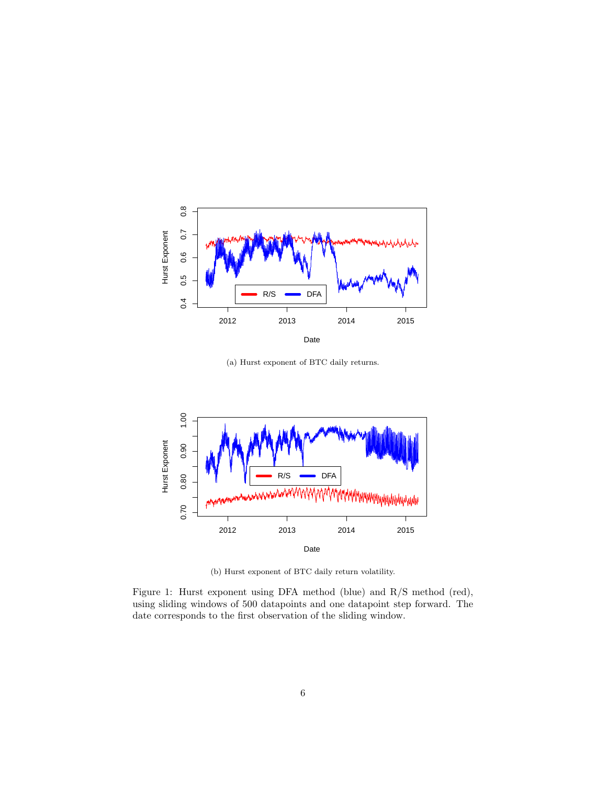

(a) Hurst exponent of BTC daily returns.



<span id="page-5-0"></span>(b) Hurst exponent of BTC daily return volatility.

Figure 1: Hurst exponent using DFA method (blue) and R/S method (red), using sliding windows of 500 datapoints and one datapoint step forward. The date corresponds to the first observation of the sliding window.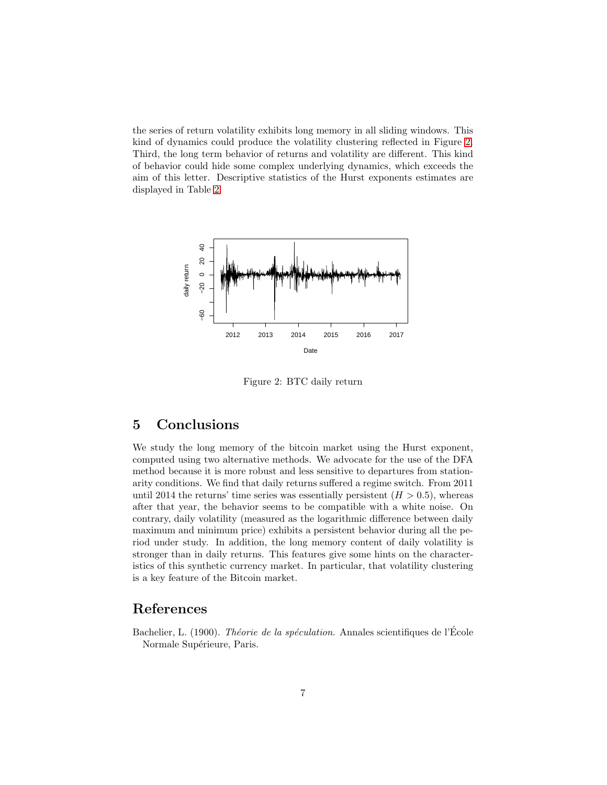the series of return volatility exhibits long memory in all sliding windows. This kind of dynamics could produce the volatility clustering reflected in Figure [2.](#page-6-2) Third, the long term behavior of returns and volatility are different. This kind of behavior could hide some complex underlying dynamics, which exceeds the aim of this letter. Descriptive statistics of the Hurst exponents estimates are displayed in Table [2.](#page-4-2)



<span id="page-6-2"></span>Figure 2: BTC daily return

# <span id="page-6-0"></span>5 Conclusions

We study the long memory of the bitcoin market using the Hurst exponent, computed using two alternative methods. We advocate for the use of the DFA method because it is more robust and less sensitive to departures from stationarity conditions. We find that daily returns suffered a regime switch. From 2011 until 2014 the returns' time series was essentially persistent  $(H > 0.5)$ , whereas after that year, the behavior seems to be compatible with a white noise. On contrary, daily volatility (measured as the logarithmic difference between daily maximum and minimum price) exhibits a persistent behavior during all the period under study. In addition, the long memory content of daily volatility is stronger than in daily returns. This features give some hints on the characteristics of this synthetic currency market. In particular, that volatility clustering is a key feature of the Bitcoin market.

# References

<span id="page-6-1"></span>Bachelier, L. (1900). Théorie de la spéculation. Annales scientifiques de l'École Normale Supérieure, Paris.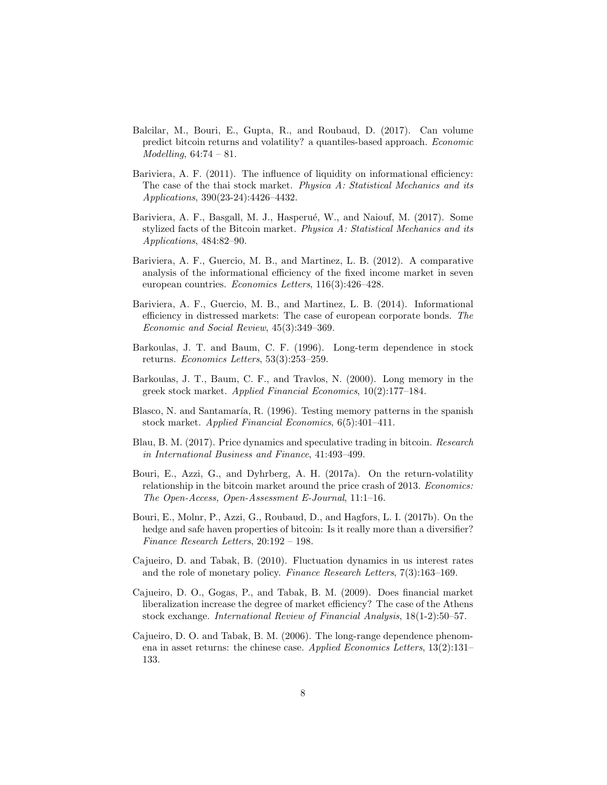- <span id="page-7-2"></span>Balcilar, M., Bouri, E., Gupta, R., and Roubaud, D. (2017). Can volume predict bitcoin returns and volatility? a quantiles-based approach. Economic  $Modelling, 64:74-81.$
- <span id="page-7-7"></span>Bariviera, A. F. (2011). The influence of liquidity on informational efficiency: The case of the thai stock market. Physica A: Statistical Mechanics and its Applications, 390(23-24):4426–4432.
- <span id="page-7-13"></span>Bariviera, A. F., Basgall, M. J., Hasperué, W., and Naiouf, M. (2017). Some stylized facts of the Bitcoin market. Physica A: Statistical Mechanics and its Applications, 484:82–90.
- <span id="page-7-11"></span>Bariviera, A. F., Guercio, M. B., and Martinez, L. B. (2012). A comparative analysis of the informational efficiency of the fixed income market in seven european countries. Economics Letters, 116(3):426–428.
- <span id="page-7-12"></span>Bariviera, A. F., Guercio, M. B., and Martinez, L. B. (2014). Informational efficiency in distressed markets: The case of european corporate bonds. The Economic and Social Review, 45(3):349–369.
- <span id="page-7-6"></span>Barkoulas, J. T. and Baum, C. F. (1996). Long-term dependence in stock returns. Economics Letters, 53(3):253–259.
- <span id="page-7-4"></span>Barkoulas, J. T., Baum, C. F., and Travlos, N. (2000). Long memory in the greek stock market. Applied Financial Economics, 10(2):177–184.
- <span id="page-7-5"></span>Blasco, N. and Santamaría, R. (1996). Testing memory patterns in the spanish stock market. Applied Financial Economics, 6(5):401–411.
- <span id="page-7-3"></span>Blau, B. M. (2017). Price dynamics and speculative trading in bitcoin. Research in International Business and Finance, 41:493–499.
- <span id="page-7-0"></span>Bouri, E., Azzi, G., and Dyhrberg, A. H. (2017a). On the return-volatility relationship in the bitcoin market around the price crash of 2013. Economics: The Open-Access, Open-Assessment E-Journal, 11:1–16.
- <span id="page-7-1"></span>Bouri, E., Molnr, P., Azzi, G., Roubaud, D., and Hagfors, L. I. (2017b). On the hedge and safe haven properties of bitcoin: Is it really more than a diversifier? Finance Research Letters, 20:192 – 198.
- <span id="page-7-10"></span>Cajueiro, D. and Tabak, B. (2010). Fluctuation dynamics in us interest rates and the role of monetary policy. Finance Research Letters, 7(3):163–169.
- <span id="page-7-8"></span>Cajueiro, D. O., Gogas, P., and Tabak, B. M. (2009). Does financial market liberalization increase the degree of market efficiency? The case of the Athens stock exchange. International Review of Financial Analysis, 18(1-2):50–57.
- <span id="page-7-9"></span>Cajueiro, D. O. and Tabak, B. M. (2006). The long-range dependence phenomena in asset returns: the chinese case. Applied Economics Letters, 13(2):131– 133.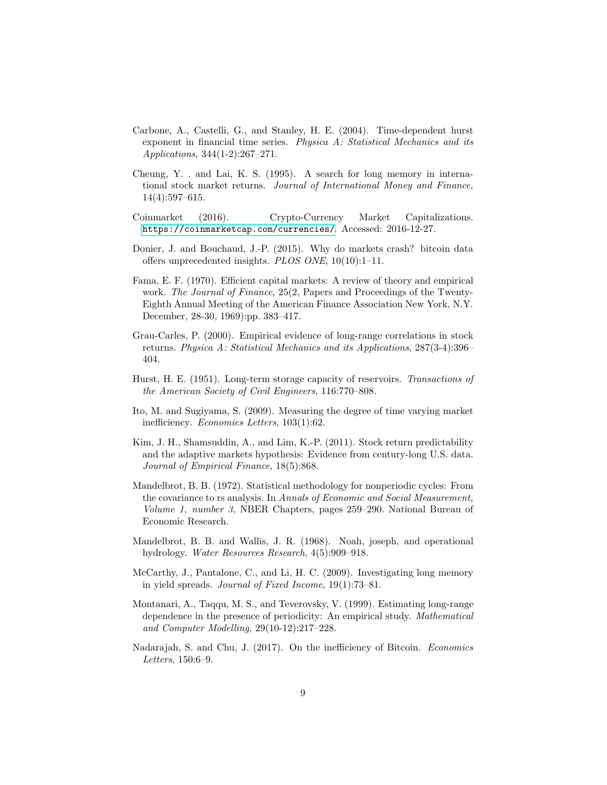- <span id="page-8-5"></span>Carbone, A., Castelli, G., and Stanley, H. E. (2004). Time-dependent hurst exponent in financial time series. Physica A: Statistical Mechanics and its Applications, 344(1-2):267–271.
- <span id="page-8-4"></span>Cheung, Y. . and Lai, K. S. (1995). A search for long memory in international stock market returns. Journal of International Money and Finance, 14(4):597–615.
- <span id="page-8-0"></span>Coinmarket (2016). Crypto-Currency Market Capitalizations. <https://coinmarketcap.com/currencies/>. Accessed: 2016-12-27.
- <span id="page-8-1"></span>Donier, J. and Bouchaud, J.-P. (2015). Why do markets crash? bitcoin data offers unprecedented insights. PLOS ONE, 10(10):1–11.
- <span id="page-8-3"></span>Fama, E. F. (1970). Efficient capital markets: A review of theory and empirical work. The Journal of Finance, 25(2, Papers and Proceedings of the Twenty-Eighth Annual Meeting of the American Finance Association New York, N.Y. December, 28-30, 1969):pp. 383–417.
- <span id="page-8-12"></span>Grau-Carles, P. (2000). Empirical evidence of long-range correlations in stock returns. Physica A: Statistical Mechanics and its Applications, 287(3-4):396– 404.
- <span id="page-8-9"></span>Hurst, H. E. (1951). Long-term storage capacity of reservoirs. Transactions of the American Society of Civil Engineers, 116:770–808.
- <span id="page-8-7"></span>Ito, M. and Sugiyama, S. (2009). Measuring the degree of time varying market inefficiency. Economics Letters, 103(1):62.
- <span id="page-8-8"></span>Kim, J. H., Shamsuddin, A., and Lim, K.-P. (2011). Stock return predictability and the adaptive markets hypothesis: Evidence from century-long U.S. data. Journal of Empirical Finance, 18(5):868.
- <span id="page-8-11"></span>Mandelbrot, B. B. (1972). Statistical methodology for nonperiodic cycles: From the covariance to rs analysis. In Annals of Economic and Social Measurement, Volume 1, number 3, NBER Chapters, pages 259–290. National Bureau of Economic Research.
- <span id="page-8-10"></span>Mandelbrot, B. B. and Wallis, J. R. (1968). Noah, joseph, and operational hydrology. Water Resources Research, 4(5):909–918.
- <span id="page-8-6"></span>McCarthy, J., Pantalone, C., and Li, H. C. (2009). Investigating long memory in yield spreads. Journal of Fixed Income, 19(1):73–81.
- <span id="page-8-13"></span>Montanari, A., Taqqu, M. S., and Teverovsky, V. (1999). Estimating long-range dependence in the presence of periodicity: An empirical study. Mathematical and Computer Modelling, 29(10-12):217–228.
- <span id="page-8-2"></span>Nadarajah, S. and Chu, J. (2017). On the inefficiency of Bitcoin. Economics Letters, 150:6–9.